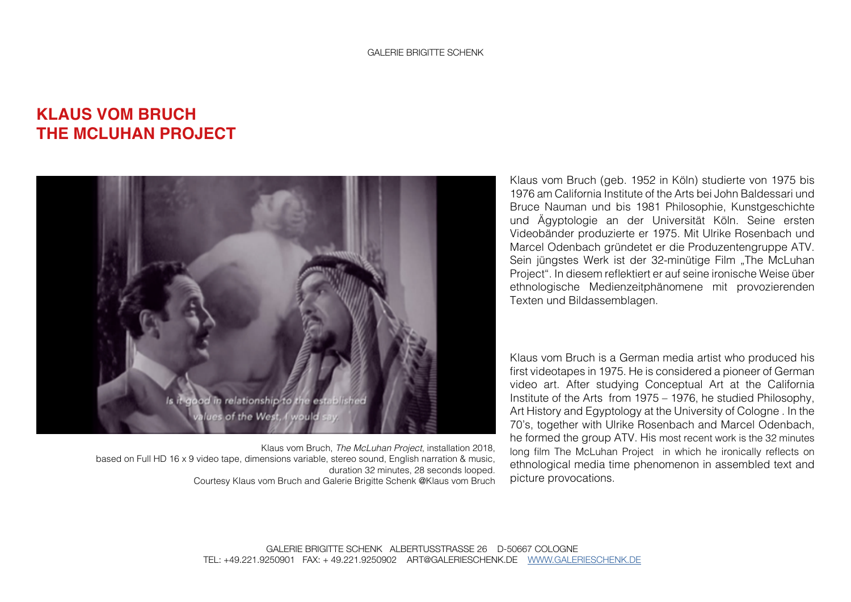## **KLAUS VOM BRUCH THE MCLUHAN PROJECT**



Klaus vom Bruch, *The McLuhan Project*, installation 2018, based on Full HD 16 x 9 video tape, dimensions variable, stereo sound, English narration & music, duration 32 minutes, 28 seconds looped. Courtesy Klaus vom Bruch and Galerie Brigitte Schenk @Klaus vom Bruch

Klaus vom Bruch (geb. 1952 in Köln) studierte von 1975 bis 1976 am California Institute of the Arts bei John Baldessari und Bruce Nauman und bis 1981 Philosophie, Kunstgeschichte und Ägyptologie an der Universität Köln. Seine ersten Videobänder produzierte er 1975. Mit Ulrike Rosenbach und Marcel Odenbach gründetet er die Produzentengruppe ATV. Sein jüngstes Werk ist der 32-minütige Film "The McLuhan Project". In diesem reflektiert er auf seine ironische Weise über ethnologische Medienzeitphänomene mit provozierenden Texten und Bildassemblagen.

Klaus vom Bruch is a German media artist who produced his first videotapes in 1975. He is considered a pioneer of German video art. After studying Conceptual Art at the California Institute of the Arts from 1975 – 1976, he studied Philosophy, Art History and Egyptology at the University of Cologne . In the 70's, together with Ulrike Rosenbach and Marcel Odenbach, he formed the group ATV. His most recent work is the 32 minutes long film The McLuhan Project in which he ironically reflects on ethnological media time phenomenon in assembled text and picture provocations.